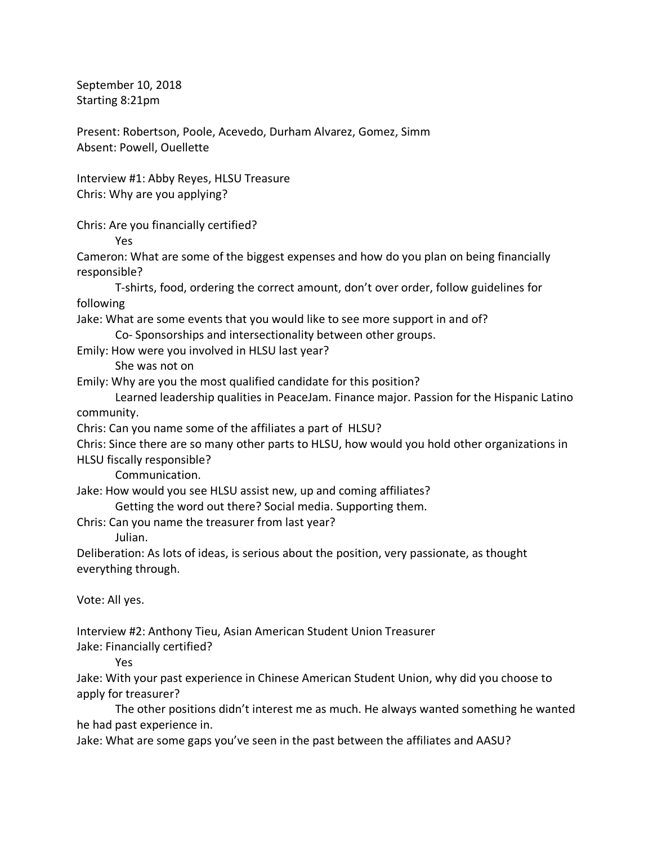September 10, 2018 Starting 8:21pm

Present: Robertson, Poole, Acevedo, Durham Alvarez, Gomez, Simm Absent: Powell, Ouellette

Interview #1: Abby Reyes, HLSU Treasure Chris: Why are you applying?

Chris: Are you financially certified?

Yes

Cameron: What are some of the biggest expenses and how do you plan on being financially responsible?

T-shirts, food, ordering the correct amount, don't over order, follow guidelines for following

Jake: What are some events that you would like to see more support in and of?

Co- Sponsorships and intersectionality between other groups.

Emily: How were you involved in HLSU last year?

She was not on

Emily: Why are you the most qualified candidate for this position?

Learned leadership qualities in PeaceJam. Finance major. Passion for the Hispanic Latino community.

Chris: Can you name some of the affiliates a part of HLSU?

Chris: Since there are so many other parts to HLSU, how would you hold other organizations in HLSU fiscally responsible?

Communication.

Jake: How would you see HLSU assist new, up and coming affiliates?

Getting the word out there? Social media. Supporting them.

Chris: Can you name the treasurer from last year?

Julian.

Deliberation: As lots of ideas, is serious about the position, very passionate, as thought everything through.

Vote: All yes.

Interview #2: Anthony Tieu, Asian American Student Union Treasurer

Jake: Financially certified?

Yes

Jake: With your past experience in Chinese American Student Union, why did you choose to apply for treasurer?

The other positions didn't interest me as much. He always wanted something he wanted he had past experience in.

Jake: What are some gaps you've seen in the past between the affiliates and AASU?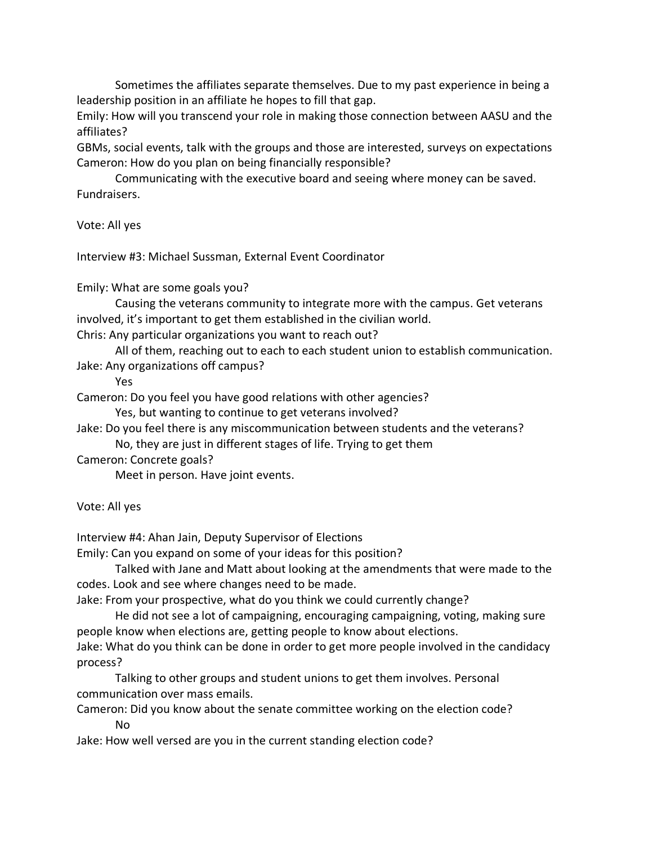Sometimes the affiliates separate themselves. Due to my past experience in being a leadership position in an affiliate he hopes to fill that gap.

Emily: How will you transcend your role in making those connection between AASU and the affiliates?

GBMs, social events, talk with the groups and those are interested, surveys on expectations Cameron: How do you plan on being financially responsible?

Communicating with the executive board and seeing where money can be saved. Fundraisers.

Vote: All yes

Interview #3: Michael Sussman, External Event Coordinator

Emily: What are some goals you?

Causing the veterans community to integrate more with the campus. Get veterans involved, it's important to get them established in the civilian world.

Chris: Any particular organizations you want to reach out?

All of them, reaching out to each to each student union to establish communication. Jake: Any organizations off campus?

Yes

Cameron: Do you feel you have good relations with other agencies?

Yes, but wanting to continue to get veterans involved?

Jake: Do you feel there is any miscommunication between students and the veterans?

No, they are just in different stages of life. Trying to get them

Cameron: Concrete goals?

Meet in person. Have joint events.

Vote: All yes

Interview #4: Ahan Jain, Deputy Supervisor of Elections

Emily: Can you expand on some of your ideas for this position?

Talked with Jane and Matt about looking at the amendments that were made to the codes. Look and see where changes need to be made.

Jake: From your prospective, what do you think we could currently change?

He did not see a lot of campaigning, encouraging campaigning, voting, making sure people know when elections are, getting people to know about elections.

Jake: What do you think can be done in order to get more people involved in the candidacy process?

Talking to other groups and student unions to get them involves. Personal communication over mass emails.

Cameron: Did you know about the senate committee working on the election code? No

Jake: How well versed are you in the current standing election code?